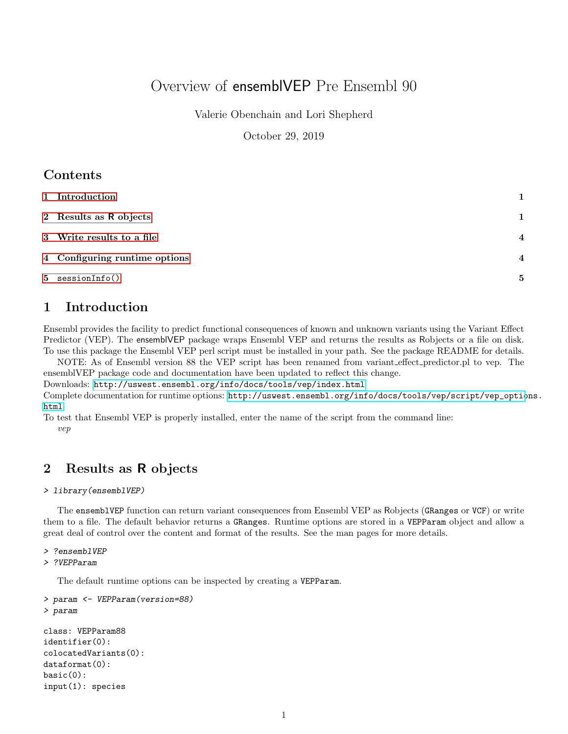# Overview of ensemblVEP Pre Ensembl 90

Valerie Obenchain and Lori Shepherd

October 29, 2019

## **Contents**

| 1 Introduction                | 1                       |
|-------------------------------|-------------------------|
| 2 Results as R objects        | 1                       |
| 3 Write results to a file     | $\overline{\mathbf{4}}$ |
| 4 Configuring runtime options | $\overline{\mathbf{4}}$ |
| 5 sessionInfo()               | 5                       |

## <span id="page-0-0"></span>1 Introduction

Ensembl provides the facility to predict functional consequences of known and unknown variants using the Variant Effect Predictor (VEP). The ensemblVEP package wraps Ensembl VEP and returns the results as Robjects or a file on disk. To use this package the Ensembl VEP perl script must be installed in your path. See the package README for details.

NOTE: As of Ensembl version 88 the VEP script has been renamed from variant effect predictor.pl to vep. The ensemblVEP package code and documentation have been updated to reflect this change.

Downloads: <http://uswest.ensembl.org/info/docs/tools/vep/index.html>

Complete documentation for runtime options: [http://uswest.ensembl.org/info/docs/tools/vep/script/vep\\_optio](http://uswest.ensembl.org/info/docs/tools/vep/script/vep_options.html)ns. [html](http://uswest.ensembl.org/info/docs/tools/vep/script/vep_options.html)

To test that Ensembl VEP is properly installed, enter the name of the script from the command line: vep

## <span id="page-0-1"></span>2 Results as R objects

#### > library(ensemblVEP)

The ensemblVEP function can return variant consequences from Ensembl VEP as Robjects (GRanges or VCF) or write them to a file. The default behavior returns a GRanges. Runtime options are stored in a VEPParam object and allow a great deal of control over the content and format of the results. See the man pages for more details.

#### > ?ensemblVEP

```
> ?VEPParam
```
The default runtime options can be inspected by creating a VEPParam.

```
> param <- VEPParam(version=88)
> param
```

```
class: VEPParam88
identifier(0):
colocatedVariants(0):
dataformat(0):
basic(0):input(1): species
```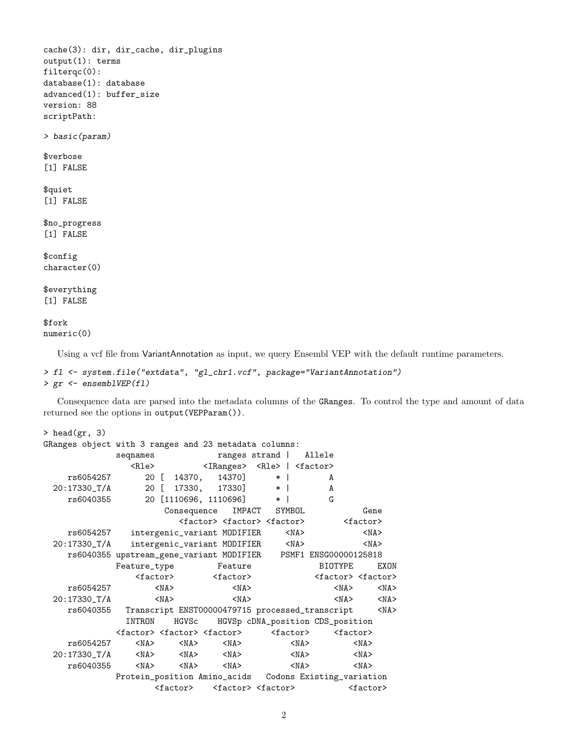```
cache(3): dir, dir_cache, dir_plugins
output(1): terms
filterqc(0):
database(1): database
advanced(1): buffer_size
version: 88
scriptPath:
> basic(param)
$verbose
[1] FALSE
$quiet
[1] FALSE
$no_progress
[1] FALSE
$config
character(0)
$everything
[1] FALSE
$fork
numeric(0)
```
Using a vcf file from VariantAnnotation as input, we query Ensembl VEP with the default runtime parameters.

```
> fl <- system.file("extdata", "gl_chr1.vcf", package="VariantAnnotation")
> gr <- ensemblVEP(fl)
```
Consequence data are parsed into the metadata columns of the GRanges. To control the type and amount of data returned see the options in output(VEPParam()).

| > head $(gr, 3)$                                        |                                                       |                                                       |                                                     |                                     |                |  |  |  |  |
|---------------------------------------------------------|-------------------------------------------------------|-------------------------------------------------------|-----------------------------------------------------|-------------------------------------|----------------|--|--|--|--|
| GRanges object with 3 ranges and 23 metadata columns:   |                                                       |                                                       |                                                     |                                     |                |  |  |  |  |
|                                                         | seqnames                                              |                                                       | ranges strand                                       | Allele                              |                |  |  |  |  |
|                                                         | $R1e$                                                 |                                                       | <iranges> <rle>   <factor></factor></rle></iranges> |                                     |                |  |  |  |  |
| rs6054257                                               | 20 [                                                  | 14370]<br>14370,                                      | $\ast$                                              | A                                   |                |  |  |  |  |
| 20:17330_T/A                                            | 20 <sub>1</sub>                                       | 17330,                                                | 17330]<br>$*1$                                      | A                                   |                |  |  |  |  |
| rs6040355                                               |                                                       | 20 [1110696, 1110696]                                 | $\ast$                                              | G                                   |                |  |  |  |  |
|                                                         |                                                       | Consequence                                           | IMPACT<br>SYMBOL                                    |                                     | Gene           |  |  |  |  |
|                                                         | <factor> <factor> <factor></factor></factor></factor> | <factor></factor>                                     |                                                     |                                     |                |  |  |  |  |
| rs6054257                                               |                                                       | intergenic_variant MODIFIER                           | $<$ NA $>$                                          |                                     | $<$ NA $>$     |  |  |  |  |
| $20:17330$ _T/A                                         |                                                       | intergenic_variant MODIFIER                           | $<$ NA $>$                                          |                                     | $<$ NA $>$     |  |  |  |  |
|                                                         |                                                       | rs6040355 upstream_gene_variant MODIFIER              |                                                     | PSMF1 ENSG00000125818               |                |  |  |  |  |
|                                                         | Feature_type                                          | Feature                                               |                                                     | <b>BIOTYPE</b>                      | <b>F.XON</b>   |  |  |  |  |
|                                                         | <factor></factor>                                     | <factor></factor>                                     |                                                     | <factor> <factor></factor></factor> |                |  |  |  |  |
| rs6054257                                               | $<$ NA $>$                                            | $<$ NA $>$                                            |                                                     | $<$ NA $>$                          | $<$ NA $>$     |  |  |  |  |
| 20:17330_T/A                                            | $<$ NA $>$                                            | $<$ NA $>$                                            |                                                     | $<$ NA $>$                          | $<$ NA $>$     |  |  |  |  |
| rs6040355                                               |                                                       | Transcript ENST00000479715 processed_transcript       |                                                     |                                     | $<$ NA $>$     |  |  |  |  |
|                                                         | INTRON                                                | HGVSc                                                 | HGVSp cDNA_position CDS_position                    |                                     |                |  |  |  |  |
|                                                         |                                                       | <factor> <factor> <factor></factor></factor></factor> | <factor></factor>                                   | $factor$                            |                |  |  |  |  |
| rs6054257                                               | $<$ NA $>$                                            | $<$ NA $>$<br>$<$ NA $>$                              | $<$ NA $>$                                          |                                     | $<$ NA $>$     |  |  |  |  |
| $20:17330$ _T/A                                         | $<$ NA $>$                                            | $<$ NA $>$<br>$<$ NA $>$                              | $<$ NA $>$                                          |                                     | $<$ NA $>$     |  |  |  |  |
| rs6040355                                               | $<$ NA $>$                                            | $<$ NA $>$<br>$<$ NA $>$                              | $<$ NA $>$                                          |                                     | $<$ NA $>$     |  |  |  |  |
| Protein_position Amino_acids  Codons Existing_variation |                                                       |                                                       |                                                     |                                     |                |  |  |  |  |
|                                                         |                                                       | <factor> <factor><factor></factor></factor></factor>  |                                                     |                                     | $<$ factor $>$ |  |  |  |  |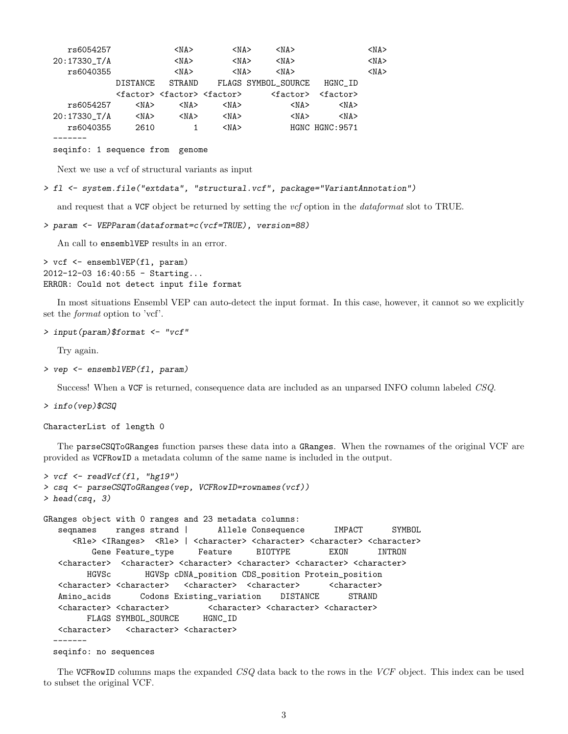| rs6054257       |                 | $<$ NA $>$                                            | $<$ NA $>$ |                     | $<$ NA $>$        |                 | $<$ NA $>$ |
|-----------------|-----------------|-------------------------------------------------------|------------|---------------------|-------------------|-----------------|------------|
| $20:17330$ _T/A |                 | $<$ NA $>$                                            | $<$ NA $>$ |                     | $<$ NA $>$        |                 | $<$ NA $>$ |
| rs6040355       |                 | $<$ NA $>$                                            | $<$ NA $>$ |                     | $<$ NA $>$        |                 | $<$ NA $>$ |
|                 | <b>DISTANCE</b> | STRAND                                                |            | FLAGS SYMBOL_SOURCE |                   | HGNC_ID         |            |
|                 |                 | <factor> <factor> <factor></factor></factor></factor> |            |                     | <factor></factor> | $factor$        |            |
| rs6054257       | $<$ NA $>$      | $<$ NA $>$                                            | $<$ NA $>$ |                     | $<$ NA $>$        | $<$ NA $>$      |            |
| $20:17330$ _T/A | $<$ NA $>$      | $<$ NA $>$                                            | $<$ NA $>$ |                     | $<$ NA $>$        | $<$ NA $>$      |            |
| rs6040355       | 2610            |                                                       | $<$ NA $>$ |                     |                   | HGNC HGNC: 9571 |            |
|                 |                 |                                                       |            |                     |                   |                 |            |

```
seqinfo: 1 sequence from genome
```
Next we use a vcf of structural variants as input

```
> fl <- system.file("extdata", "structural.vcf", package="VariantAnnotation")
```
and request that a VCF object be returned by setting the vcf option in the dataformat slot to TRUE.

```
> param <- VEPParam(dataformat=c(vcf=TRUE), version=88)
```
An call to ensemblVEP results in an error.

> vcf <- ensemblVEP(fl, param) 2012-12-03 16:40:55 - Starting... ERROR: Could not detect input file format

In most situations Ensembl VEP can auto-detect the input format. In this case, however, it cannot so we explicitly set the format option to 'vcf'.

```
> input(param)$format <- "vcf"
```
Try again.

```
> vep <- ensemblVEP(fl, param)
```
Success! When a VCF is returned, consequence data are included as an unparsed INFO column labeled CSQ.

```
> info(vep)$CSQ
```
CharacterList of length 0

The parseCSQToGRanges function parses these data into a GRanges. When the rownames of the original VCF are provided as VCFRowID a metadata column of the same name is included in the output.

```
> vcf <- readVcf(fl, "hg19")
> csq <- parseCSQToGRanges(vep, VCFRowID=rownames(vcf))
> head(csq, 3)GRanges object with 0 ranges and 23 metadata columns:
  seqnames ranges strand | Allele Consequence IMPACT SYMBOL
     <Rle> <IRanges> <Rle> | <character> <character> <character> <character>
        Gene Feature_type Feature BIOTYPE EXON INTRON
  <character> <character> <character> <character> <character> <character>
        HGVSc HGVSp cDNA_position CDS_position Protein_position
  <character> <character> <character> <character> <character>
  Amino_acids Codons Existing_variation DISTANCE STRAND
  <character> <character> <character> <character> <character>
       FLAGS SYMBOL_SOURCE HGNC_ID
  <character> <character> <character>
  -------
 seqinfo: no sequences
```
The VCFRowID columns maps the expanded CSQ data back to the rows in the VCF object. This index can be used to subset the original VCF.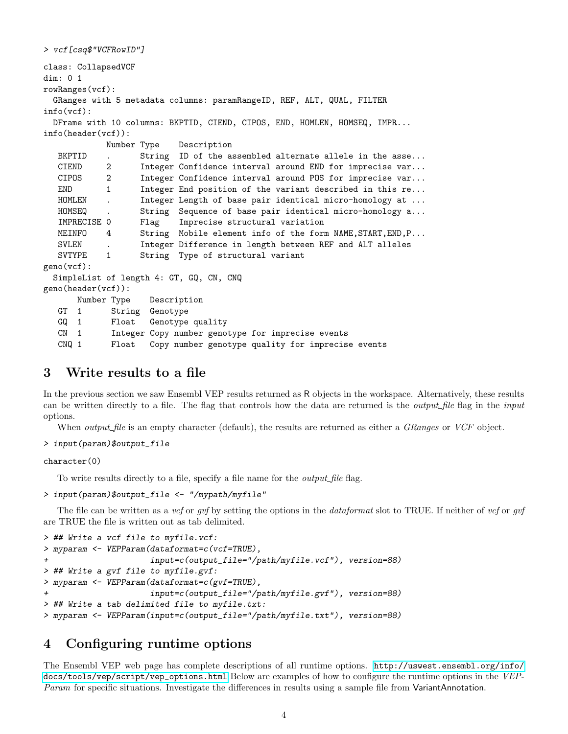```
> vcf[csq$"VCFRowID"]
class: CollapsedVCF
dim: 0 1
rowRanges(vcf):
 GRanges with 5 metadata columns: paramRangeID, REF, ALT, QUAL, FILTER
info(vcf):
 DFrame with 10 columns: BKPTID, CIEND, CIPOS, END, HOMLEN, HOMSEQ, IMPR...
info(header(vcf)):
           Number Type Description
  BKPTID . String ID of the assembled alternate allele in the asse...
  CIEND 2 Integer Confidence interval around END for imprecise var...
  CIPOS 2 Integer Confidence interval around POS for imprecise var...
  END 1 Integer End position of the variant described in this re...
  HOMLEN . Integer Length of base pair identical micro-homology at ...
  HOMSEQ . String Sequence of base pair identical micro-homology a...
  IMPRECISE 0 Flag Imprecise structural variation
  MEINFO 4 String Mobile element info of the form NAME, START, END, P...
  SVLEN . Integer Difference in length between REF and ALT alleles
  SVTYPE 1 String Type of structural variant
geno(vcf):
 SimpleList of length 4: GT, GQ, CN, CNQ
geno(header(vcf)):
      Number Type Description
  GT 1 String Genotype
  GQ 1 Float Genotype quality
  CN 1 Integer Copy number genotype for imprecise events
  CNQ 1 Float Copy number genotype quality for imprecise events
```
## <span id="page-3-0"></span>3 Write results to a file

In the previous section we saw Ensembl VEP results returned as R objects in the workspace. Alternatively, these results can be written directly to a file. The flag that controls how the data are returned is the *output file* flag in the *input* options.

When *output\_file* is an empty character (default), the results are returned as either a *GRanges* or *VCF* object.

```
> input(param)$output_file
```
character(0)

To write results directly to a file, specify a file name for the *output* file flag.

```
> input(param)$output_file <- "/mypath/myfile"
```
The file can be written as a vcf or gvf by setting the options in the dataformat slot to TRUE. If neither of vcf or gvf are TRUE the file is written out as tab delimited.

```
> ## Write a vcf file to myfile.vcf:
> myparam <- VEPParam(dataformat=c(vcf=TRUE),
                     input=c(output_file="/path/myfile.vcf"), version=88)
> ## Write a gvf file to myfile.gvf:
> myparam <- VEPParam(dataformat=c(gvf=TRUE),
+ input=c(output_file="/path/myfile.gvf"), version=88)
> ## Write a tab delimited file to myfile.txt:
> myparam <- VEPParam(input=c(output_file="/path/myfile.txt"), version=88)
```
## <span id="page-3-1"></span>4 Configuring runtime options

The Ensembl VEP web page has complete descriptions of all runtime options. [http://uswest.ensembl.org/info/](http://uswest.ensembl.org/info/docs/tools/vep/script/vep_options.html) [docs/tools/vep/script/vep\\_options.html](http://uswest.ensembl.org/info/docs/tools/vep/script/vep_options.html) Below are examples of how to configure the runtime options in the VEP-Param for specific situations. Investigate the differences in results using a sample file from VariantAnnotation.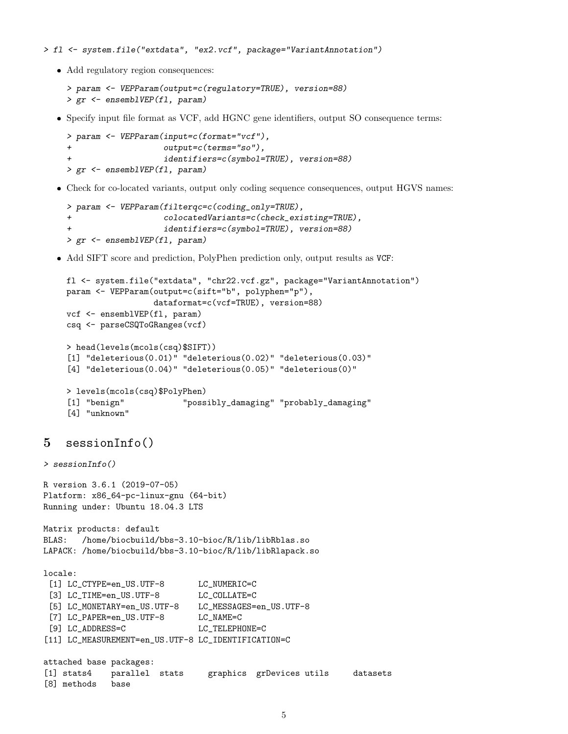> fl <- system.file("extdata", "ex2.vcf", package="VariantAnnotation")

• Add regulatory region consequences:

```
> param <- VEPParam(output=c(regulatory=TRUE), version=88)
> gr <- ensemblVEP(fl, param)
```
Specify input file format as VCF, add HGNC gene identifiers, output SO consequence terms:

```
> param <- VEPParam(input=c(format="vcf"),
                 output=c(terms="so"),
+ identifiers=c(symbol=TRUE), version=88)
> gr <- ensemblVEP(fl, param)
```
Check for co-located variants, output only coding sequence consequences, output HGVS names:

```
> param <- VEPParam(filterqc=c(coding_only=TRUE),
+ colocatedVariants=c(check_existing=TRUE),
+ identifiers=c(symbol=TRUE), version=88)
> gr <- ensemblVEP(fl, param)
```
Add SIFT score and prediction, PolyPhen prediction only, output results as VCF:

```
fl <- system.file("extdata", "chr22.vcf.gz", package="VariantAnnotation")
param <- VEPParam(output=c(sift="b", polyphen="p"),
                 dataformat=c(vcf=TRUE), version=88)
vcf <- ensemblVEP(fl, param)
csq <- parseCSQToGRanges(vcf)
> head(levels(mcols(csq)$SIFT))
[1] "deleterious(0.01)" "deleterious(0.02)" "deleterious(0.03)"
[4] "deleterious(0.04)" "deleterious(0.05)" "deleterious(0)"
> levels(mcols(csq)$PolyPhen)
[1] "benign" "possibly_damaging" "probably_damaging"
[4] "unknown"
```
### <span id="page-4-0"></span>5 sessionInfo()

[8] methods base

```
> sessionInfo()
R version 3.6.1 (2019-07-05)
Platform: x86_64-pc-linux-gnu (64-bit)
Running under: Ubuntu 18.04.3 LTS
Matrix products: default
BLAS: /home/biocbuild/bbs-3.10-bioc/R/lib/libRblas.so
LAPACK: /home/biocbuild/bbs-3.10-bioc/R/lib/libRlapack.so
locale:
 [1] LC_CTYPE=en_US.UTF-8 LC_NUMERIC=C
 [3] LC_TIME=en_US.UTF-8 LC_COLLATE=C
 [5] LC_MONETARY=en_US.UTF-8 LC_MESSAGES=en_US.UTF-8
 [7] LC_PAPER=en_US.UTF-8 LC_NAME=C
 [9] LC_ADDRESS=C LC_TELEPHONE=C
[11] LC_MEASUREMENT=en_US.UTF-8 LC_IDENTIFICATION=C
attached base packages:
[1] stats4 parallel stats graphics grDevices utils datasets
```